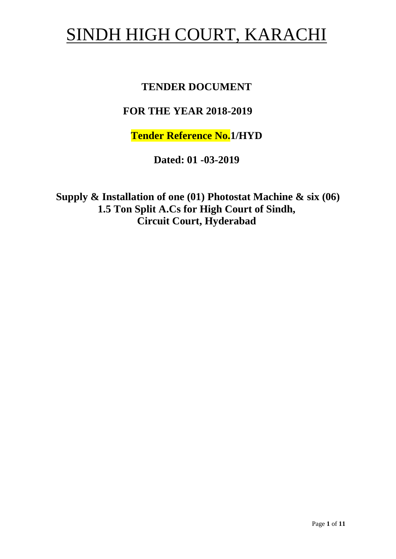# SINDH HIGH COURT, KARACHI

## **TENDER DOCUMENT**

# **FOR THE YEAR 2018-2019**

**Tender Reference No.1/HYD**

**Dated: 01 -03-2019**

**Supply & Installation of one (01) Photostat Machine & six (06) 1.5 Ton Split A.Cs for High Court of Sindh, Circuit Court, Hyderabad**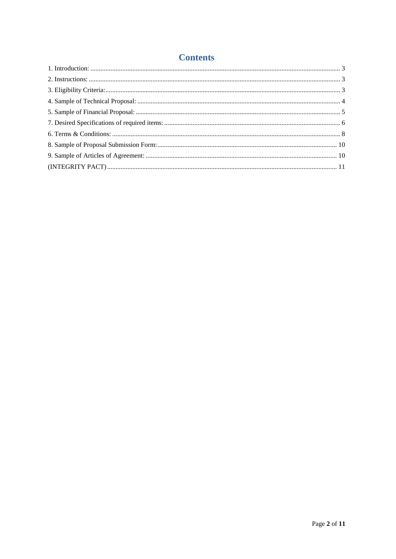#### **Contents**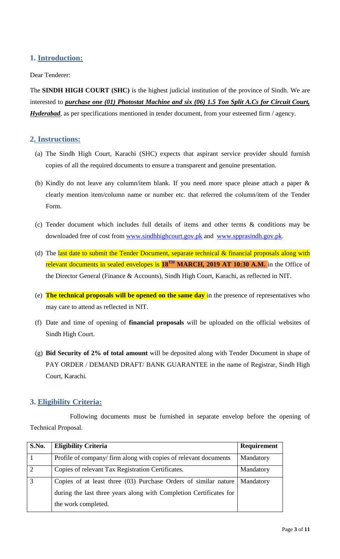## <span id="page-2-1"></span><span id="page-2-0"></span>**1. Introduction:**

#### Dear Tenderer:

The **SINDH HIGH COURT (SHC)** is the highest judicial institution of the province of [Sindh.](https://en.wikipedia.org/wiki/Sindh) We are interested to *purchase one (01) Photostat Machine and six (06) 1.5 Ton Split A.Cs for Circuit Court, Hyderabad*, as per specifications mentioned in tender document, from your esteemed firm / agency.

#### **2. Instructions:**

- (a) The Sindh High Court, Karachi (SHC) expects that aspirant service provider should furnish copies of all the required documents to ensure a transparent and genuine presentation.
- (b) Kindly do not leave any column/item blank. If you need more space please attach a paper & clearly mention item/column name or number etc. that referred the column/item of the Tender Form.
- (c) Tender document which includes full details of items and other terms & conditions may be downloaded free of cost from [www.sindhhighcourt.gov.pk](http://www.sindhhighcourt.gov.pk/) and [www.spprasindh.gov.pk.](http://www.spprasindh.gov.pk/)
- (d) The last date to submit the Tender Document, separate technical  $\&$  financial proposals along with relevant documents in sealed envelopes is 18<sup>TH</sup> MARCH, 2019 AT 10:30 A.M. in the Office of the Director General (Finance & Accounts), Sindh High Court, Karachi, as reflected in NIT.
- <span id="page-2-2"></span>(e) **The technical proposals will be opened on the same day** in the presence of representatives who may care to attend as reflected in NIT.
- (f) Date and time of opening of **financial proposals** will be uploaded on the official websites of Sindh High Court.
- (g) **Bid Security of 2% of total amount** will be deposited along with Tender Document in shape of PAY ORDER / DEMAND DRAFT/ BANK GUARANTEE in the name of Registrar, Sindh High Court, Karachi.

#### **3. Eligibility Criteria:**

Following documents must be furnished in separate envelop before the opening of Technical Proposal.

| S.No.          | <b>Eligibility Criteria</b>                                        | <b>Requirement</b> |
|----------------|--------------------------------------------------------------------|--------------------|
|                | Profile of company/firm along with copies of relevant documents    | Mandatory          |
| $\overline{2}$ | Copies of relevant Tax Registration Certificates.                  | Mandatory          |
|                | Copies of at least three (03) Purchase Orders of similar nature    | Mandatory          |
|                | during the last three years along with Completion Certificates for |                    |
|                | the work completed.                                                |                    |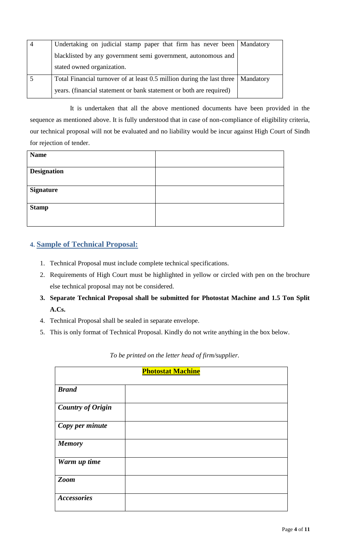| Undertaking on judicial stamp paper that firm has never been   Mandatory           |  |
|------------------------------------------------------------------------------------|--|
| blacklisted by any government semi government, autonomous and                      |  |
| stated owned organization.                                                         |  |
| Total Financial turnover of at least 0.5 million during the last three   Mandatory |  |
| years. (financial statement or bank statement or both are required)                |  |

It is undertaken that all the above mentioned documents have been provided in the sequence as mentioned above. It is fully understood that in case of non-compliance of eligibility criteria, our technical proposal will not be evaluated and no liability would be incur against High Court of Sindh for rejection of tender.

<span id="page-3-0"></span>

| <b>Name</b>        |  |
|--------------------|--|
|                    |  |
| <b>Designation</b> |  |
|                    |  |
| <b>Signature</b>   |  |
|                    |  |
| <b>Stamp</b>       |  |
|                    |  |
|                    |  |

## **4. Sample of Technical Proposal:**

- 1. Technical Proposal must include complete technical specifications.
- 2. Requirements of High Court must be highlighted in yellow or circled with pen on the brochure else technical proposal may not be considered.
- **3. Separate Technical Proposal shall be submitted for Photostat Machine and 1.5 Ton Split A.Cs.**
- 4. Technical Proposal shall be sealed in separate envelope.
- 5. This is only format of Technical Proposal. Kindly do not write anything in the box below.

| <b>Photostat Machine</b> |  |  |
|--------------------------|--|--|
| <b>Brand</b>             |  |  |
| <b>Country of Origin</b> |  |  |
| Copy per minute          |  |  |
| <b>Memory</b>            |  |  |
| Warm up time             |  |  |
| <b>Zoom</b>              |  |  |
| <b>Accessories</b>       |  |  |

*To be printed on the letter head of firm/supplier.*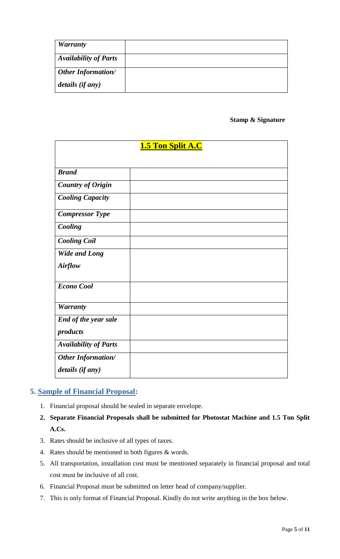| <b>Warranty</b>              |  |
|------------------------------|--|
| <b>Availability of Parts</b> |  |
| <b>Other Information/</b>    |  |
| details (if any)             |  |

#### **Stamp & Signature**

| <b>1.5 Ton Split A.C</b>                      |  |  |
|-----------------------------------------------|--|--|
| <b>Brand</b>                                  |  |  |
| <b>Country of Origin</b>                      |  |  |
| <b>Cooling Capacity</b>                       |  |  |
| <b>Compressor Type</b>                        |  |  |
| Cooling                                       |  |  |
| <b>Cooling Coil</b>                           |  |  |
| <b>Wide and Long</b><br><b>Airflow</b>        |  |  |
| <b>Econo Cool</b>                             |  |  |
| <b>Warranty</b>                               |  |  |
| End of the year sale<br>products              |  |  |
| <b>Availability of Parts</b>                  |  |  |
| <b>Other Information/</b><br>details (if any) |  |  |

#### <span id="page-4-0"></span>**5. Sample of Financial Proposal:**

- 1. Financial proposal should be sealed in separate envelope.
- **2. Separate Financial Proposals shall be submitted for Photostat Machine and 1.5 Ton Split A.Cs.**
- 3. Rates should be inclusive of all types of taxes.
- 4. Rates should be mentioned in both figures & words.
- 5. All transportation, installation cost must be mentioned separately in financial proposal and total cost must be inclusive of all cost.
- 6. Financial Proposal must be submitted on letter head of company/supplier.
- 7. This is only format of Financial Proposal. Kindly do not write anything in the box below.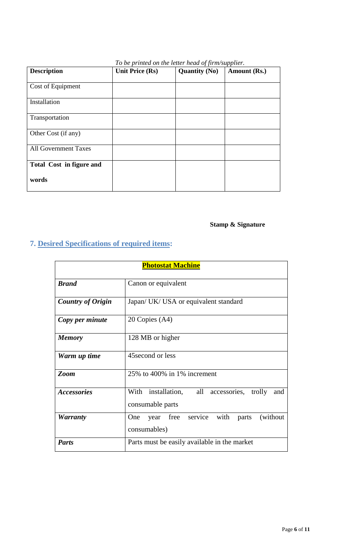<span id="page-5-0"></span>

| <b>Description</b>              | <b>Unit Price (Rs)</b> | <b>Quantity (No)</b> | Amount (Rs.) |
|---------------------------------|------------------------|----------------------|--------------|
| Cost of Equipment               |                        |                      |              |
| Installation                    |                        |                      |              |
| Transportation                  |                        |                      |              |
| Other Cost (if any)             |                        |                      |              |
| <b>All Government Taxes</b>     |                        |                      |              |
| <b>Total Cost in figure and</b> |                        |                      |              |
| words                           |                        |                      |              |

#### *To be printed on the letter head of firm/supplier.*

# **Stamp & Signature**

# **7. Desired Specifications of required items:**

| <b>Photostat Machine</b> |                                                                              |  |
|--------------------------|------------------------------------------------------------------------------|--|
| <b>Brand</b>             | Canon or equivalent                                                          |  |
| <b>Country of Origin</b> | Japan/ UK/ USA or equivalent standard                                        |  |
| Copy per minute          | 20 Copies (A4)                                                               |  |
| <b>Memory</b>            | 128 MB or higher                                                             |  |
| Warm up time             | 45 second or less                                                            |  |
| <b>Zoom</b>              | 25% to 400% in 1% increment                                                  |  |
| <b>Accessories</b>       | With installation,<br>all<br>accessories, trolly<br>and<br>consumable parts  |  |
| <b>Warranty</b>          | with<br>service<br>(without)<br>One<br>free<br>parts<br>year<br>consumables) |  |
| <b>Parts</b>             | Parts must be easily available in the market                                 |  |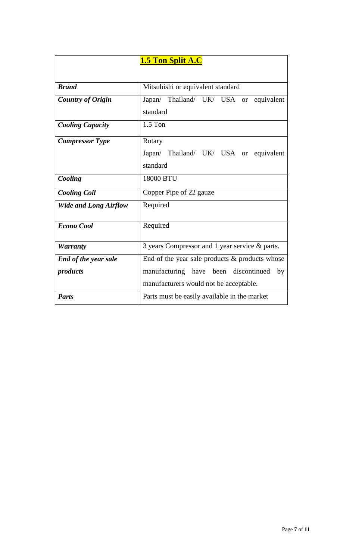|                              | <b>1.5 Ton Split A.C</b>                          |  |
|------------------------------|---------------------------------------------------|--|
|                              |                                                   |  |
| <b>Brand</b>                 | Mitsubishi or equivalent standard                 |  |
| <b>Country of Origin</b>     | Japan/ Thailand/ UK/ USA or equivalent            |  |
|                              | standard                                          |  |
| <b>Cooling Capacity</b>      | $1.5$ Ton                                         |  |
| <b>Compressor Type</b>       | Rotary                                            |  |
|                              | Japan/ Thailand/ UK/ USA or equivalent            |  |
|                              | standard                                          |  |
| Cooling                      | 18000 BTU                                         |  |
| <b>Cooling Coil</b>          | Copper Pipe of 22 gauze                           |  |
| <b>Wide and Long Airflow</b> | Required                                          |  |
| <b>Econo Cool</b>            | Required                                          |  |
| <b>Warranty</b>              | 3 years Compressor and 1 year service & parts.    |  |
| <b>End of the year sale</b>  | End of the year sale products $\&$ products whose |  |
| products                     | manufacturing have been discontinued<br>by        |  |
|                              | manufacturers would not be acceptable.            |  |
| <b>Parts</b>                 | Parts must be easily available in the market      |  |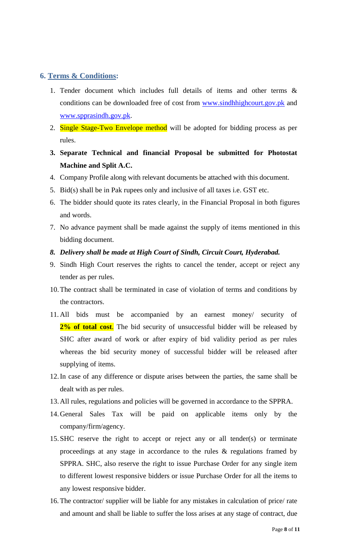#### <span id="page-7-0"></span>**6. Terms & Conditions:**

- 1. Tender document which includes full details of items and other terms & conditions can be downloaded free of cost from [www.sindhhighcourt.gov.pk](http://www.sindhhighcourt.gov.pk/) and [www.spprasindh.gov.pk.](http://www.spprasindh.gov.pk/)
- 2. Single Stage-Two Envelope method will be adopted for bidding process as per rules.
- **3. Separate Technical and financial Proposal be submitted for Photostat Machine and Split A.C.**
- 4. Company Profile along with relevant documents be attached with this document.
- 5. Bid(s) shall be in Pak rupees only and inclusive of all taxes i.e. GST etc.
- 6. The bidder should quote its rates clearly, in the Financial Proposal in both figures and words.
- 7. No advance payment shall be made against the supply of items mentioned in this bidding document.
- *8. Delivery shall be made at High Court of Sindh, Circuit Court, Hyderabad.*
- 9. Sindh High Court reserves the rights to cancel the tender, accept or reject any tender as per rules.
- 10.The contract shall be terminated in case of violation of terms and conditions by the contractors.
- 11. All bids must be accompanied by an earnest money/ security of 2% of total cost. The bid security of unsuccessful bidder will be released by SHC after award of work or after expiry of bid validity period as per rules whereas the bid security money of successful bidder will be released after supplying of items.
- 12.In case of any difference or dispute arises between the parties, the same shall be dealt with as per rules.
- 13.All rules, regulations and policies will be governed in accordance to the SPPRA.
- 14.General Sales Tax will be paid on applicable items only by the company/firm/agency.
- 15.SHC reserve the right to accept or reject any or all tender(s) or terminate proceedings at any stage in accordance to the rules & regulations framed by SPPRA. SHC, also reserve the right to issue Purchase Order for any single item to different lowest responsive bidders or issue Purchase Order for all the items to any lowest responsive bidder.
- 16. The contractor/ supplier will be liable for any mistakes in calculation of price/ rate and amount and shall be liable to suffer the loss arises at any stage of contract, due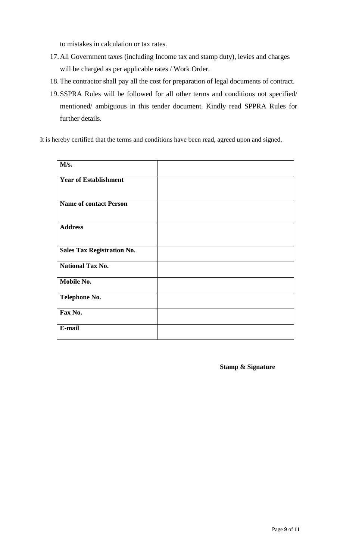to mistakes in calculation or tax rates.

- 17.All Government taxes (including Income tax and stamp duty), levies and charges will be charged as per applicable rates / Work Order.
- 18. The contractor shall pay all the cost for preparation of legal documents of contract.
- 19.SSPRA Rules will be followed for all other terms and conditions not specified/ mentioned/ ambiguous in this tender document. Kindly read SPPRA Rules for further details.

It is hereby certified that the terms and conditions have been read, agreed upon and signed.

| M/s.                              |  |
|-----------------------------------|--|
| <b>Year of Establishment</b>      |  |
|                                   |  |
| <b>Name of contact Person</b>     |  |
| <b>Address</b>                    |  |
| <b>Sales Tax Registration No.</b> |  |
| <b>National Tax No.</b>           |  |
| Mobile No.                        |  |
| Telephone No.                     |  |
| Fax No.                           |  |
| E-mail                            |  |

**Stamp & Signature**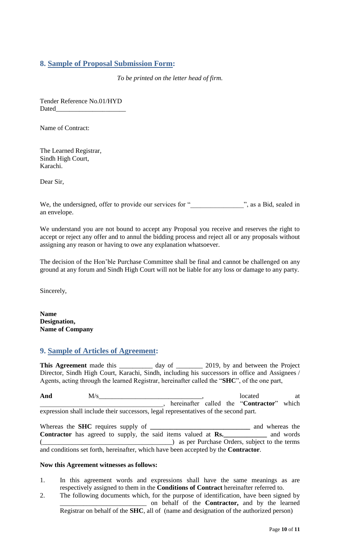## <span id="page-9-0"></span>**8. Sample of Proposal Submission Form:**

*To be printed on the letter head of firm.*

Tender Reference No.01/HYD Dated

Name of Contract:

The Learned Registrar, Sindh High Court, Karachi.

Dear Sir,

We, the undersigned, offer to provide our services for "<br>
", as a Bid, sealed in an envelope.

<span id="page-9-1"></span>We understand you are not bound to accept any Proposal you receive and reserves the right to accept or reject any offer and to annul the bidding process and reject all or any proposals without assigning any reason or having to owe any explanation whatsoever.

The decision of the Hon"ble Purchase Committee shall be final and cannot be challenged on any ground at any forum and Sindh High Court will not be liable for any loss or damage to any party.

Sincerely,

**Name Designation, Name of Company**

## **9. Sample of Articles of Agreement:**

This Agreement made this \_\_\_\_\_\_\_\_\_ day of \_\_\_\_\_\_\_ 2019, by and between the Project Director, Sindh High Court, Karachi, Sindh, including his successors in office and Assignees / Agents, acting through the learned Registrar, hereinafter called the "**SHC**", of the one part,

And  $M/s$  at  $M/s$  at  $M/s$  at  $M/s$  at  $M$ \_\_\_\_\_\_\_\_\_\_\_\_\_\_\_\_\_\_\_\_\_\_\_\_\_\_\_\_\_\_\_\_\_\_\_\_\_, hereinafter called the "**Contractor**" which expression shall include their successors, legal representatives of the second part.

Whereas the **SHC** requires supply of **\_\_\_\_\_\_\_\_\_\_\_\_\_\_\_\_\_\_\_\_\_\_\_\_\_\_\_\_\_\_** and whereas the **Contractor** has agreed to supply, the said items valued at **Rs.\_\_\_\_\_\_\_\_\_\_\_\_\_** and words (\_\_\_\_\_\_\_\_\_\_\_\_\_\_\_\_\_\_\_\_\_\_\_\_\_\_\_\_\_\_\_\_\_\_\_\_\_\_\_) as per Purchase Orders, subject to the terms and conditions set forth, hereinafter, which have been accepted by the **Contractor**.

#### **Now this Agreement witnesses as follows:**

- 1. In this agreement words and expressions shall have the same meanings as are respectively assigned to them in the **Conditions of Contract** hereinafter referred to.
- 2. The following documents which, for the purpose of identification, have been signed by \_\_\_\_\_\_\_\_\_\_\_\_\_\_\_\_\_\_\_\_\_\_\_\_\_\_ on behalf of the **Contractor,** and by the learned Registrar on behalf of the **SHC**, all of (name and designation of the authorized person)